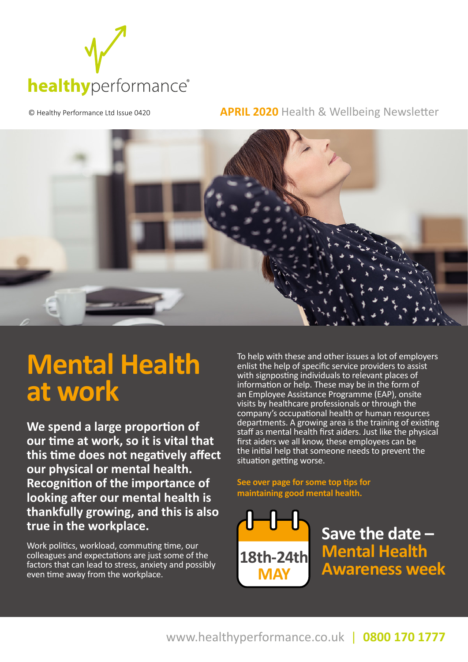

© Healthy Performance Ltd Issue 0420 **APRIL 2020** Health & Wellbeing Newsletter



# **Mental Health at work**

**We spend a large proportion of our time at work, so it is vital that this time does not negatively affect our physical or mental health. Recognition of the importance of looking after our mental health is thankfully growing, and this is also true in the workplace.** 

Work politics, workload, commuting time, our colleagues and expectations are just some of the factors that can lead to stress, anxiety and possibly even time away from the workplace.

To help with these and other issues a lot of employers enlist the help of specific service providers to assist with signposting individuals to relevant places of information or help. These may be in the form of an Employee Assistance Programme (EAP), onsite visits by healthcare professionals or through the company's occupational health or human resources departments. A growing area is the training of existing staff as mental health first aiders. Just like the physical first aiders we all know, these employees can be the initial help that someone needs to prevent the situation getting worse.

**See over page for some top tips for maintaining good mental health.**